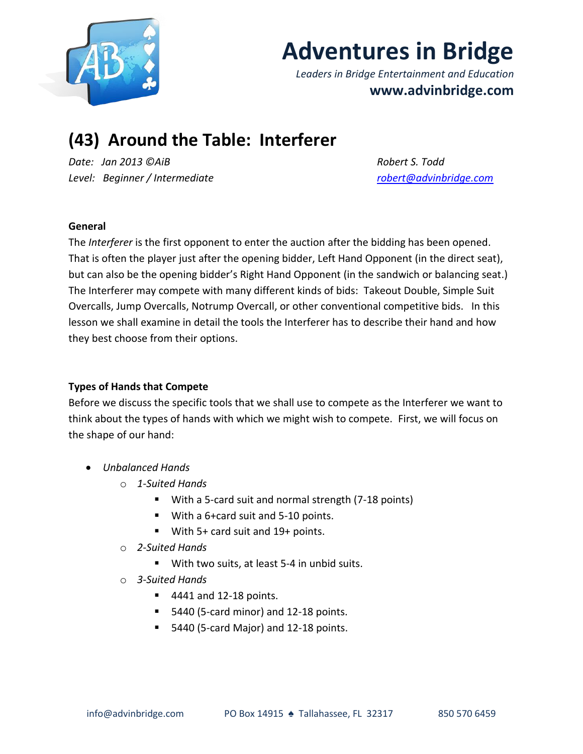

# **Adventures in Bridge**

*Leaders in Bridge Entertainment and Education* **www.advinbridge.com**

# **(43) Around the Table: Interferer**

*Date: Jan 2013 ©AiB Robert S. Todd Level: Beginner / Intermediate [robert@advinbridge.com](mailto:robert@advinbridge.com)*

# **General**

The *Interferer* is the first opponent to enter the auction after the bidding has been opened. That is often the player just after the opening bidder, Left Hand Opponent (in the direct seat), but can also be the opening bidder's Right Hand Opponent (in the sandwich or balancing seat.) The Interferer may compete with many different kinds of bids: Takeout Double, Simple Suit Overcalls, Jump Overcalls, Notrump Overcall, or other conventional competitive bids. In this lesson we shall examine in detail the tools the Interferer has to describe their hand and how they best choose from their options.

# **Types of Hands that Compete**

Before we discuss the specific tools that we shall use to compete as the Interferer we want to think about the types of hands with which we might wish to compete. First, we will focus on the shape of our hand:

- *Unbalanced Hands*
	- o *1-Suited Hands* 
		- With a 5-card suit and normal strength (7-18 points)
		- With a 6+card suit and 5-10 points.
		- With 5+ card suit and 19+ points.
	- o *2-Suited Hands*
		- With two suits, at least 5-4 in unbid suits.
	- o *3-Suited Hands*
		- 4441 and 12-18 points.
		- 5440 (5-card minor) and 12-18 points.
		- 5440 (5-card Major) and 12-18 points.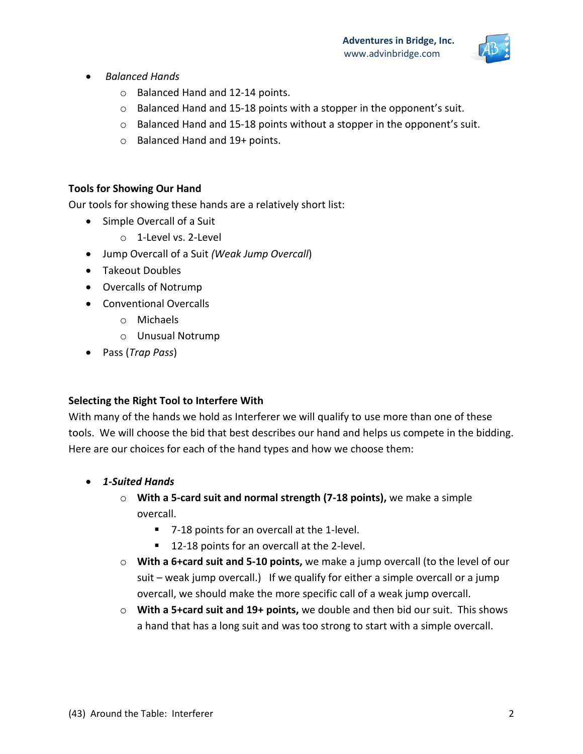

- *Balanced Hands*
	- o Balanced Hand and 12-14 points.
	- o Balanced Hand and 15-18 points with a stopper in the opponent's suit.
	- $\circ$  Balanced Hand and 15-18 points without a stopper in the opponent's suit.
	- o Balanced Hand and 19+ points.

#### **Tools for Showing Our Hand**

Our tools for showing these hands are a relatively short list:

- Simple Overcall of a Suit
	- o 1-Level vs. 2-Level
- Jump Overcall of a Suit *(Weak Jump Overcall*)
- Takeout Doubles
- Overcalls of Notrump
- Conventional Overcalls
	- o Michaels
	- o Unusual Notrump
- Pass (*Trap Pass*)

#### **Selecting the Right Tool to Interfere With**

With many of the hands we hold as Interferer we will qualify to use more than one of these tools. We will choose the bid that best describes our hand and helps us compete in the bidding. Here are our choices for each of the hand types and how we choose them:

- *1-Suited Hands* 
	- o **With a 5-card suit and normal strength (7-18 points),** we make a simple overcall.
		- 7-18 points for an overcall at the 1-level.
		- 12-18 points for an overcall at the 2-level.
	- o **With a 6+card suit and 5-10 points,** we make a jump overcall (to the level of our suit – weak jump overcall.) If we qualify for either a simple overcall or a jump overcall, we should make the more specific call of a weak jump overcall.
	- o **With a 5+card suit and 19+ points,** we double and then bid our suit. This shows a hand that has a long suit and was too strong to start with a simple overcall.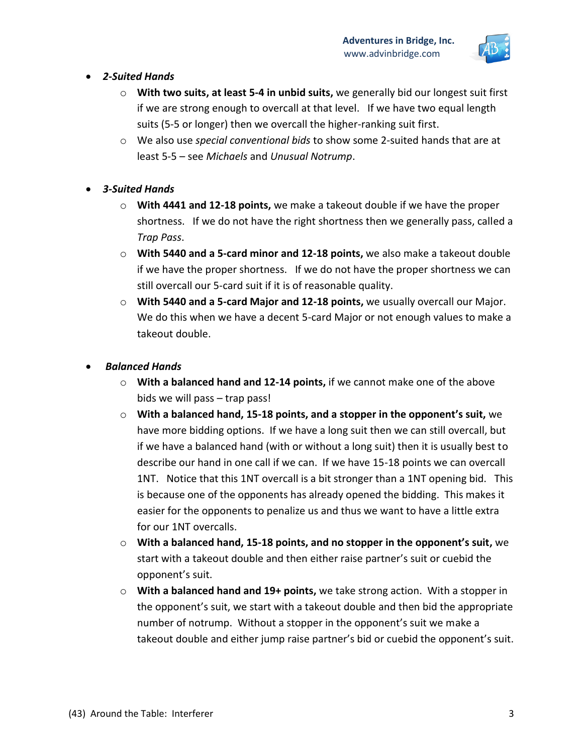

#### *2-Suited Hands*

- o **With two suits, at least 5-4 in unbid suits,** we generally bid our longest suit first if we are strong enough to overcall at that level. If we have two equal length suits (5-5 or longer) then we overcall the higher-ranking suit first.
- o We also use *special conventional bids* to show some 2-suited hands that are at least 5-5 – see *Michaels* and *Unusual Notrump*.

# *3-Suited Hands*

- o **With 4441 and 12-18 points,** we make a takeout double if we have the proper shortness. If we do not have the right shortness then we generally pass, called a *Trap Pass*.
- o **With 5440 and a 5-card minor and 12-18 points,** we also make a takeout double if we have the proper shortness. If we do not have the proper shortness we can still overcall our 5-card suit if it is of reasonable quality.
- o **With 5440 and a 5-card Major and 12-18 points,** we usually overcall our Major. We do this when we have a decent 5-card Major or not enough values to make a takeout double.

# *Balanced Hands*

- o **With a balanced hand and 12-14 points,** if we cannot make one of the above bids we will pass – trap pass!
- o **With a balanced hand, 15-18 points, and a stopper in the opponent's suit,** we have more bidding options. If we have a long suit then we can still overcall, but if we have a balanced hand (with or without a long suit) then it is usually best to describe our hand in one call if we can. If we have 15-18 points we can overcall 1NT. Notice that this 1NT overcall is a bit stronger than a 1NT opening bid. This is because one of the opponents has already opened the bidding. This makes it easier for the opponents to penalize us and thus we want to have a little extra for our 1NT overcalls.
- o **With a balanced hand, 15-18 points, and no stopper in the opponent's suit,** we start with a takeout double and then either raise partner's suit or cuebid the opponent's suit.
- o **With a balanced hand and 19+ points,** we take strong action. With a stopper in the opponent's suit, we start with a takeout double and then bid the appropriate number of notrump. Without a stopper in the opponent's suit we make a takeout double and either jump raise partner's bid or cuebid the opponent's suit.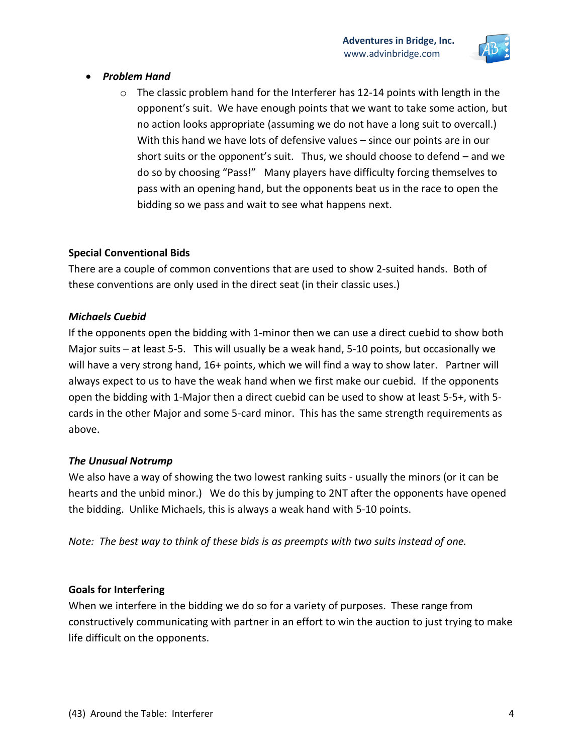

- *Problem Hand*
	- $\circ$  The classic problem hand for the Interferer has 12-14 points with length in the opponent's suit. We have enough points that we want to take some action, but no action looks appropriate (assuming we do not have a long suit to overcall.) With this hand we have lots of defensive values – since our points are in our short suits or the opponent's suit. Thus, we should choose to defend – and we do so by choosing "Pass!" Many players have difficulty forcing themselves to pass with an opening hand, but the opponents beat us in the race to open the bidding so we pass and wait to see what happens next.

#### **Special Conventional Bids**

There are a couple of common conventions that are used to show 2-suited hands. Both of these conventions are only used in the direct seat (in their classic uses.)

#### *Michaels Cuebid*

If the opponents open the bidding with 1-minor then we can use a direct cuebid to show both Major suits – at least 5-5. This will usually be a weak hand, 5-10 points, but occasionally we will have a very strong hand, 16+ points, which we will find a way to show later. Partner will always expect to us to have the weak hand when we first make our cuebid. If the opponents open the bidding with 1-Major then a direct cuebid can be used to show at least 5-5+, with 5 cards in the other Major and some 5-card minor. This has the same strength requirements as above.

# *The Unusual Notrump*

We also have a way of showing the two lowest ranking suits - usually the minors (or it can be hearts and the unbid minor.) We do this by jumping to 2NT after the opponents have opened the bidding. Unlike Michaels, this is always a weak hand with 5-10 points.

*Note: The best way to think of these bids is as preempts with two suits instead of one.*

# **Goals for Interfering**

When we interfere in the bidding we do so for a variety of purposes. These range from constructively communicating with partner in an effort to win the auction to just trying to make life difficult on the opponents.